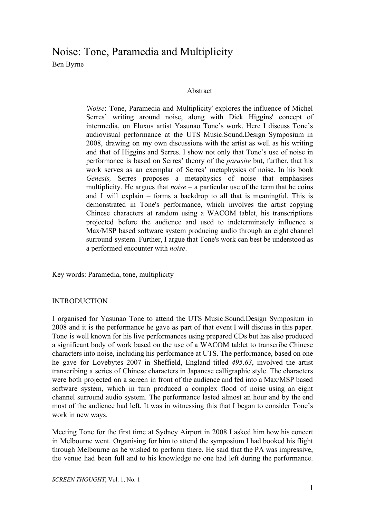# Noise: Tone, Paramedia and Multiplicity Ben Byrne

## Abstract

*'Noise*: Tone, Paramedia and Multiplicity' explores the influence of Michel Serres' writing around noise, along with Dick Higgins' concept of intermedia, on Fluxus artist Yasunao Tone's work. Here I discuss Tone's audiovisual performance at the UTS Music.Sound.Design Symposium in 2008, drawing on my own discussions with the artist as well as his writing and that of Higgins and Serres. I show not only that Tone's use of noise in performance is based on Serres' theory of the *parasite* but, further, that his work serves as an exemplar of Serres' metaphysics of noise. In his book *Genesis,* Serres proposes a metaphysics of noise that emphasises multiplicity. He argues that *noise* – a particular use of the term that he coins and I will explain – forms a backdrop to all that is meaningful. This is demonstrated in Tone's performance, which involves the artist copying Chinese characters at random using a WACOM tablet, his transcriptions projected before the audience and used to indeterminately influence a Max/MSP based software system producing audio through an eight channel surround system. Further, I argue that Tone's work can best be understood as a performed encounter with *noise*.

Key words: Paramedia, tone, multiplicity

### INTRODUCTION

I organised for Yasunao Tone to attend the UTS Music.Sound.Design Symposium in 2008 and it is the performance he gave as part of that event I will discuss in this paper. Tone is well known for his live performances using prepared CDs but has also produced a significant body of work based on the use of a WACOM tablet to transcribe Chinese characters into noise, including his performance at UTS. The performance, based on one he gave for Lovebytes 2007 in Sheffield, England titled *495,63*, involved the artist transcribing a series of Chinese characters in Japanese calligraphic style. The characters were both projected on a screen in front of the audience and fed into a Max/MSP based software system, which in turn produced a complex flood of noise using an eight channel surround audio system. The performance lasted almost an hour and by the end most of the audience had left. It was in witnessing this that I began to consider Tone's work in new ways.

Meeting Tone for the first time at Sydney Airport in 2008 I asked him how his concert in Melbourne went. Organising for him to attend the symposium I had booked his flight through Melbourne as he wished to perform there. He said that the PA was impressive, the venue had been full and to his knowledge no one had left during the performance.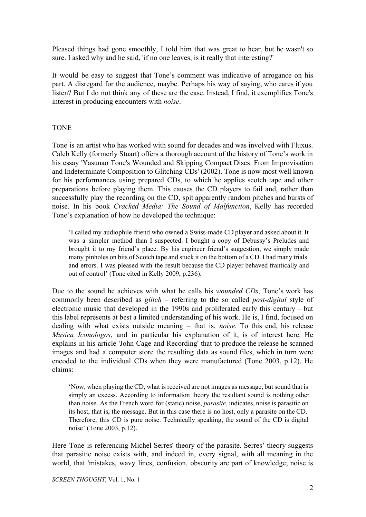Pleased things had gone smoothly, I told him that was great to hear, but he wasn't so sure. I asked why and he said, 'if no one leaves, is it really that interesting?'

It would be easy to suggest that Tone's comment was indicative of arrogance on his part. A disregard for the audience, maybe. Perhaps his way of saying, who cares if you listen? But I do not think any of these are the case. Instead, I find, it exemplifies Tone's interest in producing encounters with *noise*.

## **TONE**

Tone is an artist who has worked with sound for decades and was involved with Fluxus. Caleb Kelly (formerly Stuart) offers a thorough account of the history of Tone's work in his essay 'Yasunao Tone's Wounded and Skipping Compact Discs: From Improvisation and Indeterminate Composition to Glitching CDs' (2002). Tone is now most well known for his performances using prepared CDs, to which he applies scotch tape and other preparations before playing them. This causes the CD players to fail and, rather than successfully play the recording on the CD, spit apparently random pitches and bursts of noise. In his book *Cracked Media: The Sound of Malfunction*, Kelly has recorded Tone's explanation of how he developed the technique:

'I called my audiophile friend who owned a Swissmade CD player and asked about it. It was a simpler method than I suspected. I bought a copy of Debussy's Preludes and brought it to my friend's place. By his engineer friend's suggestion, we simply made many pinholes on bits of Scotch tape and stuck it on the bottom of a CD. I had many trials and errors. I was pleased with the result because the CD player behaved frantically and out of control' (Tone cited in Kelly 2009, p.236).

Due to the sound he achieves with what he calls his *wounded CDs*, Tone's work has commonly been described as *glitch* – referring to the so called *post-digital* style of electronic music that developed in the 1990s and proliferated early this century – but this label represents at best a limited understanding of his work. He is, I find, focused on dealing with what exists outside meaning – that is, *noise*. To this end, his release *Musica Iconologos*, and in particular his explanation of it, is of interest here. He explains in his article 'John Cage and Recording' that to produce the release he scanned images and had a computer store the resulting data as sound files, which in turn were encoded to the individual CDs when they were manufactured (Tone 2003, p.12). He claims:

'Now, when playing the CD, what is received are not images as message, but sound that is simply an excess. According to information theory the resultant sound is nothing other than noise. As the French word for (static) noise, *parasite*, indicates, noise is parasitic on its host, that is, the message. But in this case there is no host, only a parasite on the CD. Therefore, this CD is pure noise. Technically speaking, the sound of the CD is digital noise' (Tone 2003, p.12).

Here Tone is referencing Michel Serres' theory of the parasite. Serres' theory suggests that parasitic noise exists with, and indeed in, every signal, with all meaning in the world, that 'mistakes, wavy lines, confusion, obscurity are part of knowledge; noise is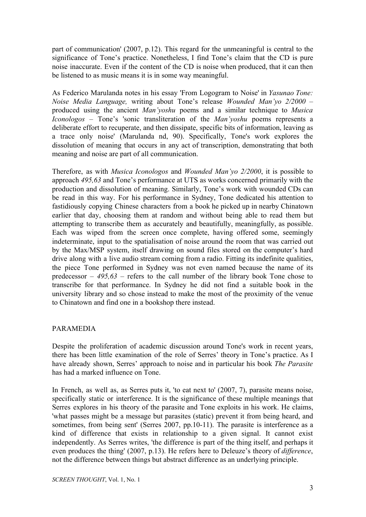part of communication' (2007, p.12). This regard for the unmeaningful is central to the significance of Tone's practice. Nonetheless, I find Tone's claim that the CD is pure noise inaccurate. Even if the content of the CD is noise when produced, that it can then be listened to as music means it is in some way meaningful.

As Federico Marulanda notes in his essay 'From Logogram to Noise' in *Yasunao Tone: Noise Media Language,* writing about Tone's release *Wounded Man'yo 2/2000* – produced using the ancient *Man'yoshu* poems and a similar technique to *Musica Iconologos* – Tone's 'sonic transliteration of the *Man'yoshu* poems represents a deliberate effort to recuperate, and then dissipate, specific bits of information, leaving as a trace only noise' (Marulanda nd, 90). Specifically, Tone's work explores the dissolution of meaning that occurs in any act of transcription, demonstrating that both meaning and noise are part of all communication.

Therefore, as with *Musica Iconologos* and *Wounded Man'yo 2/2000*, it is possible to approach *495,63* and Tone's performance at UTS as works concerned primarily with the production and dissolution of meaning. Similarly, Tone's work with wounded CDs can be read in this way. For his performance in Sydney, Tone dedicated his attention to fastidiously copying Chinese characters from a book he picked up in nearby Chinatown earlier that day, choosing them at random and without being able to read them but attempting to transcribe them as accurately and beautifully, meaningfully, as possible. Each was wiped from the screen once complete, having offered some, seemingly indeterminate, input to the spatialisation of noise around the room that was carried out by the Max/MSP system, itself drawing on sound files stored on the computer's hard drive along with a live audio stream coming from a radio. Fitting its indefinite qualities, the piece Tone performed in Sydney was not even named because the name of its predecessor – *495,63* – refers to the call number of the library book Tone chose to transcribe for that performance. In Sydney he did not find a suitable book in the university library and so chose instead to make the most of the proximity of the venue to Chinatown and find one in a bookshop there instead.

### PARAMEDIA

Despite the proliferation of academic discussion around Tone's work in recent years, there has been little examination of the role of Serres' theory in Tone's practice. As I have already shown, Serres' approach to noise and in particular his book *The Parasite* has had a marked influence on Tone.

In French, as well as, as Serres puts it, 'to eat next to' (2007, 7), parasite means noise, specifically static or interference. It is the significance of these multiple meanings that Serres explores in his theory of the parasite and Tone exploits in his work. He claims, 'what passes might be a message but parasites (static) prevent it from being heard, and sometimes, from being sent' (Serres 2007, pp.10-11). The parasite is interference as a kind of difference that exists in relationship to a given signal. It cannot exist independently. As Serres writes, 'the difference is part of the thing itself, and perhaps it even produces the thing' (2007, p.13). He refers here to Deleuze's theory of *difference*, not the difference between things but abstract difference as an underlying principle.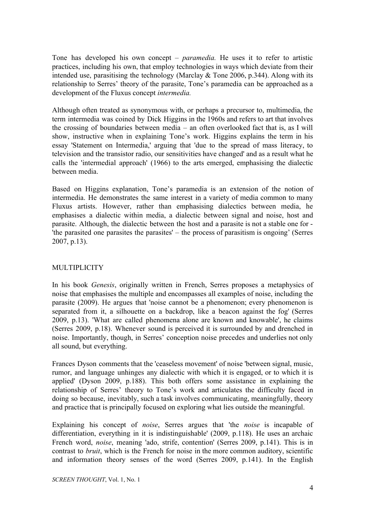Tone has developed his own concept – *paramedia.* He uses it to refer to artistic practices, including his own, that employ technologies in ways which deviate from their intended use, parasitising the technology (Marclay  $&$  Tone 2006, p.344). Along with its relationship to Serres' theory of the parasite, Tone's paramedia can be approached as a development of the Fluxus concept *intermedia.*

Although often treated as synonymous with, or perhaps a precursor to, multimedia, the term intermedia was coined by Dick Higgins in the 1960s and refers to art that involves the crossing of boundaries between media – an often overlooked fact that is, as I will show, instructive when in explaining Tone's work. Higgins explains the term in his essay 'Statement on Intermedia,' arguing that 'due to the spread of mass literacy, to television and the transistor radio, our sensitivities have changed' and as a result what he calls the 'intermedial approach' (1966) to the arts emerged, emphasising the dialectic between media.

Based on Higgins explanation, Tone's paramedia is an extension of the notion of intermedia. He demonstrates the same interest in a variety of media common to many Fluxus artists. However, rather than emphasising dialectics between media, he emphasises a dialectic within media, a dialectic between signal and noise, host and parasite. Although, the dialectic between the host and a parasite is not a stable one for 'the parasited one parasites the parasites' – the process of parasitism is ongoing' (Serres 2007, p.13).

# **MULTIPLICITY**

In his book *Genesis*, originally written in French, Serres proposes a metaphysics of noise that emphasises the multiple and encompasses all examples of noise, including the parasite (2009). He argues that 'noise cannot be a phenomenon; every phenomenon is separated from it, a silhouette on a backdrop, like a beacon against the fog' (Serres 2009, p.13). 'What are called phenomena alone are known and knowable', he claims (Serres 2009, p.18). Whenever sound is perceived it is surrounded by and drenched in noise. Importantly, though, in Serres' conception noise precedes and underlies not only all sound, but everything.

Frances Dyson comments that the 'ceaseless movement' of noise 'between signal, music, rumor, and language unhinges any dialectic with which it is engaged, or to which it is applied' (Dyson 2009, p.188). This both offers some assistance in explaining the relationship of Serres' theory to Tone's work and articulates the difficulty faced in doing so because, inevitably, such a task involves communicating, meaningfully, theory and practice that is principally focused on exploring what lies outside the meaningful.

Explaining his concept of *noise*, Serres argues that 'the *noise* is incapable of differentiation, everything in it is indistinguishable' (2009, p.118). He uses an archaic French word, *noise*, meaning 'ado, strife, contention' (Serres 2009, p.141). This is in contrast to *bruit*, which is the French for noise in the more common auditory, scientific and information theory senses of the word (Serres 2009, p.141). In the English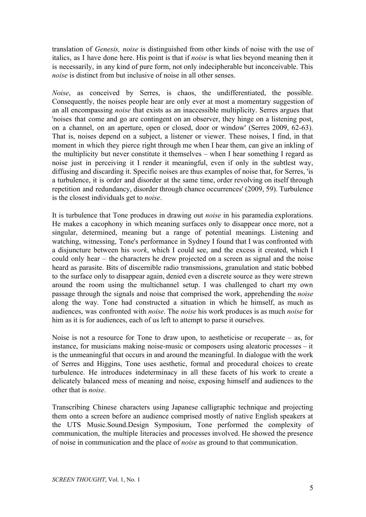translation of *Genesis, noise* is distinguished from other kinds of noise with the use of italics, as I have done here. His point is that if *noise* is what lies beyond meaning then it is necessarily, in any kind of pure form, not only indecipherable but inconceivable. This *noise* is distinct from but inclusive of noise in all other senses.

*Noise*, as conceived by Serres, is chaos, the undifferentiated, the possible. Consequently, the noises people hear are only ever at most a momentary suggestion of an all encompassing *noise* that exists as an inaccessible multiplicity. Serres argues that 'noises that come and go are contingent on an observer, they hinge on a listening post, on a channel, on an aperture, open or closed, door or window' (Serres 2009, 62-63). That is, noises depend on a subject, a listener or viewer. These noises, I find, in that moment in which they pierce right through me when I hear them, can give an inkling of the multiplicity but never constitute it themselves – when I hear something I regard as noise just in perceiving it I render it meaningful, even if only in the subtlest way, diffusing and discarding it. Specific noises are thus examples of noise that, for Serres, 'is a turbulence, it is order and disorder at the same time, order revolving on itself through repetition and redundancy, disorder through chance occurrences' (2009, 59). Turbulence is the closest individuals get to *noise*.

It is turbulence that Tone produces in drawing out *noise* in his paramedia explorations. He makes a cacophony in which meaning surfaces only to disappear once more, not a singular, determined, meaning but a range of potential meanings. Listening and watching, witnessing, Tone's performance in Sydney I found that I was confronted with a disjuncture between his *work*, which I could see, and the excess it created, which I could only hear – the characters he drew projected on a screen as signal and the noise heard as parasite. Bits of discernible radio transmissions, granulation and static bobbed to the surface only to disappear again, denied even a discrete source as they were strewn around the room using the multichannel setup. I was challenged to chart my own passage through the signals and noise that comprised the work, apprehending the *noise* along the way. Tone had constructed a situation in which he himself, as much as audiences, was confronted with *noise*. The *noise* his work produces is as much *noise* for him as it is for audiences, each of us left to attempt to parse it ourselves.

Noise is not a resource for Tone to draw upon, to aestheticise or recuperate – as, for instance, for musicians making noise-music or composers using aleatoric processes  $-$  it is the unmeaningful that occurs in and around the meaningful. In dialogue with the work of Serres and Higgins, Tone uses aesthetic, formal and procedural choices to create turbulence. He introduces indeterminacy in all these facets of his work to create a delicately balanced mess of meaning and noise, exposing himself and audiences to the other that is *noise*.

Transcribing Chinese characters using Japanese calligraphic technique and projecting them onto a screen before an audience comprised mostly of native English speakers at the UTS Music.Sound.Design Symposium, Tone performed the complexity of communication, the multiple literacies and processes involved. He showed the presence of noise in communication and the place of *noise* as ground to that communication.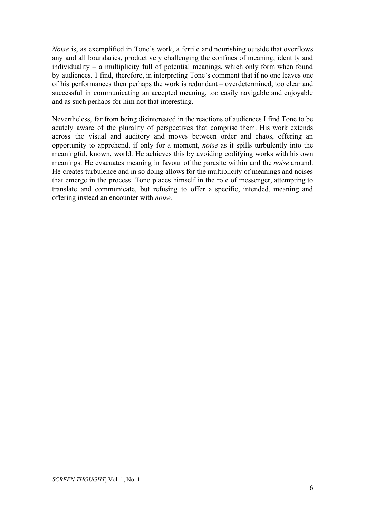*Noise* is, as exemplified in Tone's work, a fertile and nourishing outside that overflows any and all boundaries, productively challenging the confines of meaning, identity and individuality – a multiplicity full of potential meanings, which only form when found by audiences. I find, therefore, in interpreting Tone's comment that if no one leaves one of his performances then perhaps the work is redundant – overdetermined, too clear and successful in communicating an accepted meaning, too easily navigable and enjoyable and as such perhaps for him not that interesting.

Nevertheless, far from being disinterested in the reactions of audiences I find Tone to be acutely aware of the plurality of perspectives that comprise them. His work extends across the visual and auditory and moves between order and chaos, offering an opportunity to apprehend, if only for a moment, *noise* as it spills turbulently into the meaningful, known, world. He achieves this by avoiding codifying works with his own meanings. He evacuates meaning in favour of the parasite within and the *noise* around. He creates turbulence and in so doing allows for the multiplicity of meanings and noises that emerge in the process. Tone places himself in the role of messenger, attempting to translate and communicate, but refusing to offer a specific, intended, meaning and offering instead an encounter with *noise.*